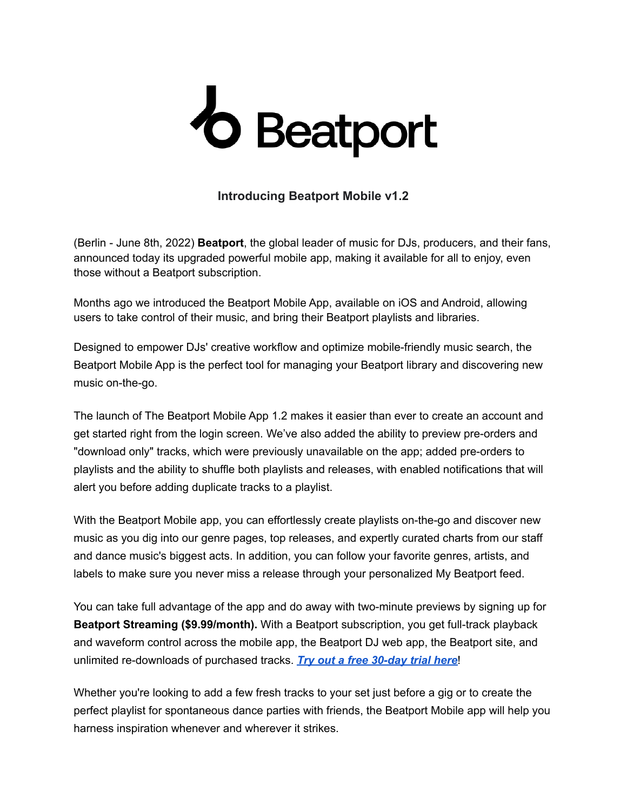## *O* Beatport

## **Introducing Beatport Mobile v1.2**

(Berlin - June 8th, 2022) **Beatport**, the global leader of music for DJs, producers, and their fans, announced today its upgraded powerful mobile app, making it available for all to enjoy, even those without a Beatport subscription.

Months ago we introduced the Beatport Mobile App, available on iOS and Android, allowing users to take control of their music, and bring their Beatport playlists and libraries.

Designed to empower DJs' creative workflow and optimize mobile-friendly music search, the Beatport Mobile App is the perfect tool for managing your Beatport library and discovering new music on-the-go.

The launch of The Beatport Mobile App 1.2 makes it easier than ever to create an account and get started right from the login screen. We've also added the ability to preview pre-orders and "download only" tracks, which were previously unavailable on the app; added pre-orders to playlists and the ability to shuffle both playlists and releases, with enabled notifications that will alert you before adding duplicate tracks to a playlist.

With the Beatport Mobile app, you can effortlessly create playlists on-the-go and discover new music as you dig into our genre pages, top releases, and expertly curated charts from our staff and dance music's biggest acts. In addition, you can follow your favorite genres, artists, and labels to make sure you never miss a release through your personalized My Beatport feed.

You can take full advantage of the app and do away with two-minute previews by signing up for **Beatport Streaming (\$9.99/month).** With a Beatport subscription, you get full-track playback and waveform control across the mobile app, the Beatport DJ web app, the Beatport site, and unlimited re-downloads of purchased tracks. *Try out a free [30-day](http://stream.beatport.com/?utm_medium=referral&utm_source=beatportal&utm_campaign=link) trial here*!

Whether you're looking to add a few fresh tracks to your set just before a gig or to create the perfect playlist for spontaneous dance parties with friends, the Beatport Mobile app will help you harness inspiration whenever and wherever it strikes.